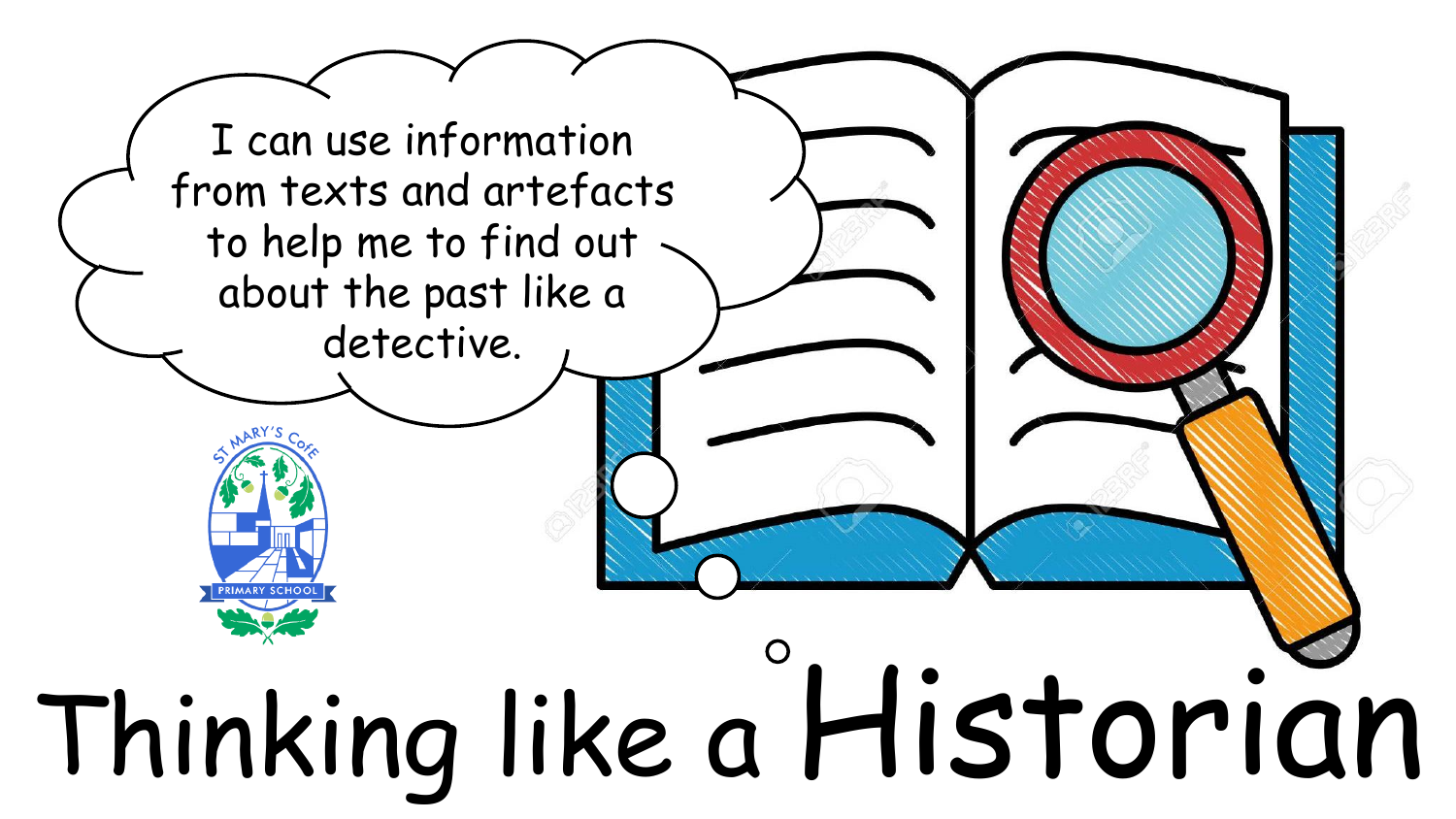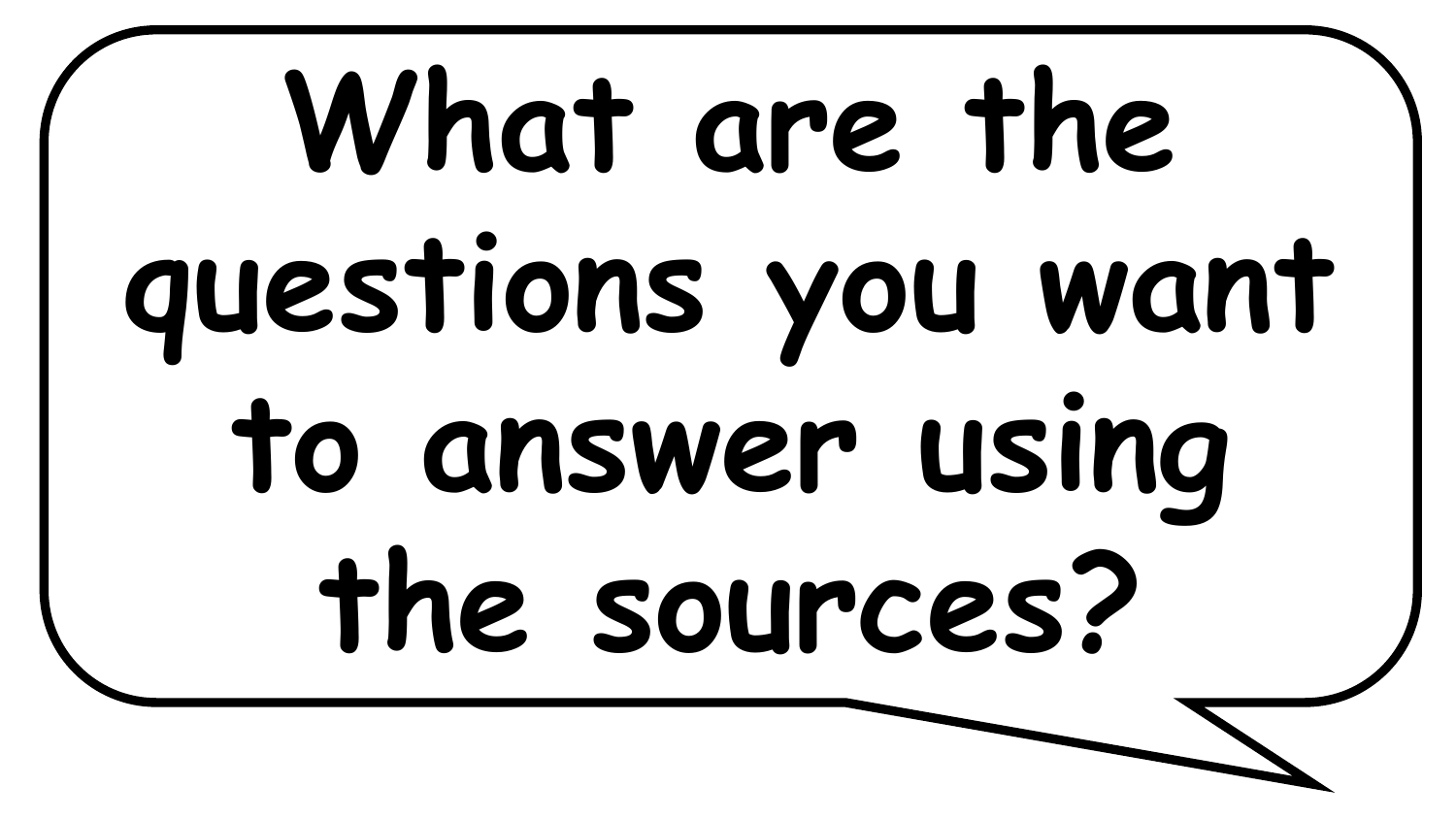# What are the **questions you want to answer using the sources?**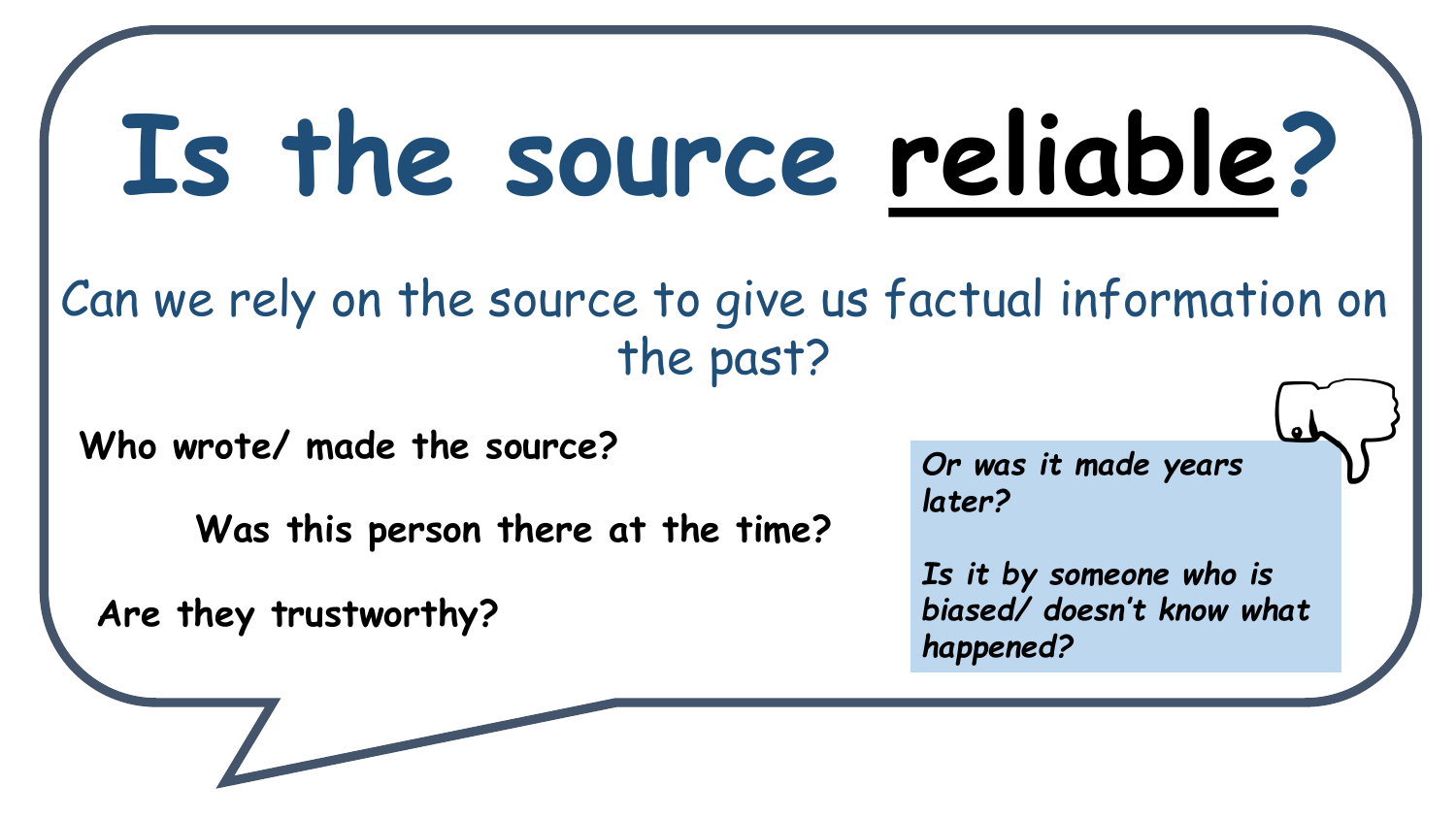#### **Is the source reliable?**

Can we rely on the source to give us factual information on the past?

**Who wrote/ made the source?**

**Was this person there at the time?**

**Are they trustworthy?**

*Or was it made years later?* 

*Is it by someone who is biased/ doesn't know what happened?*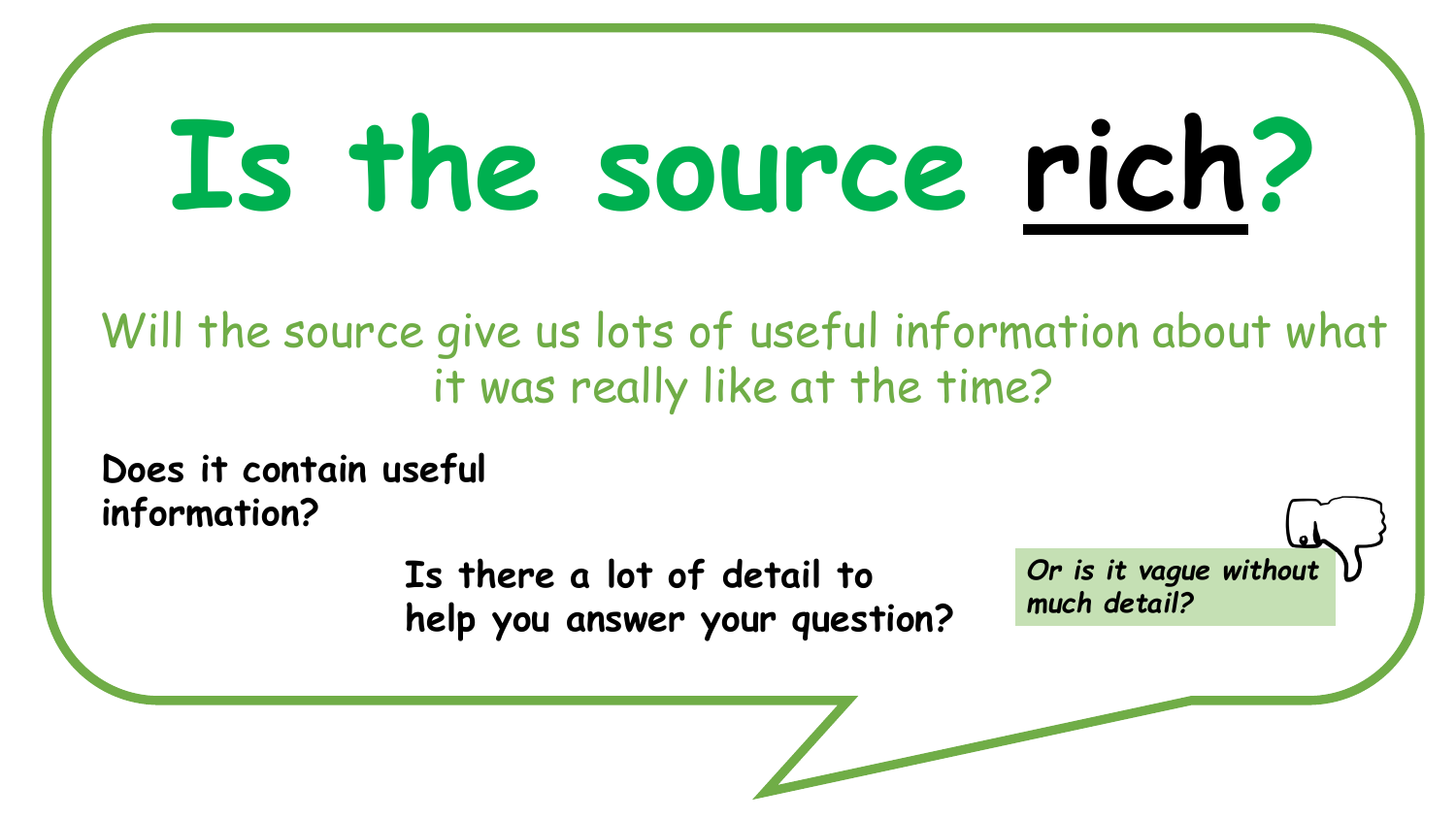## **Is the source rich?**

Will the source give us lots of useful information about what it was really like at the time?

**Does it contain useful information?**

> **Is there a lot of detail to help you answer your question?**

*Or is it vague without much detail?*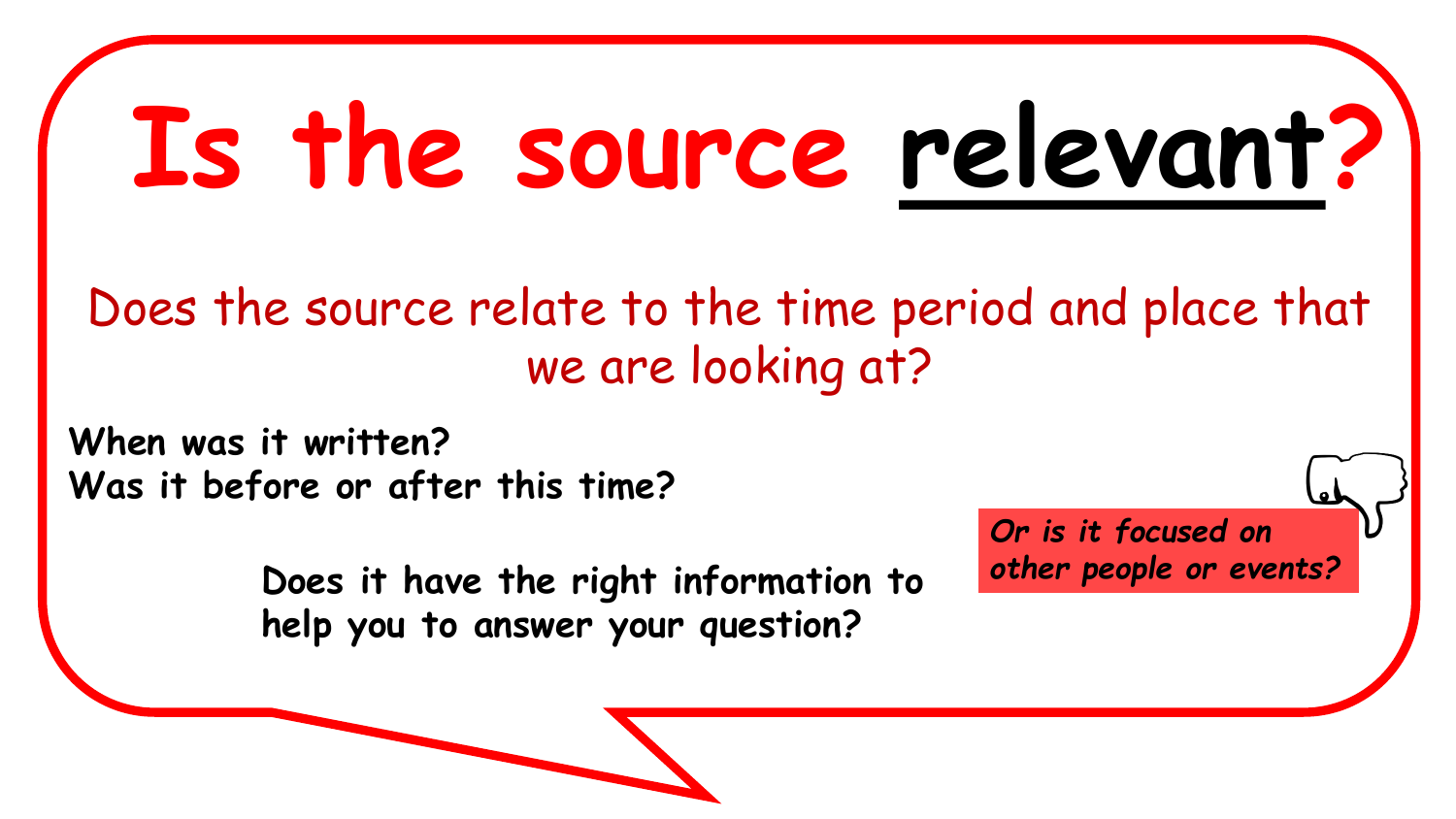## **Is the source relevant?**

#### we are looking at? Does the source relate to the time period and place that

**When was it written? Was it before or after this time?**

> **Does it have the right information to help you to answer your question?**

*Or is it focused on other people or events?*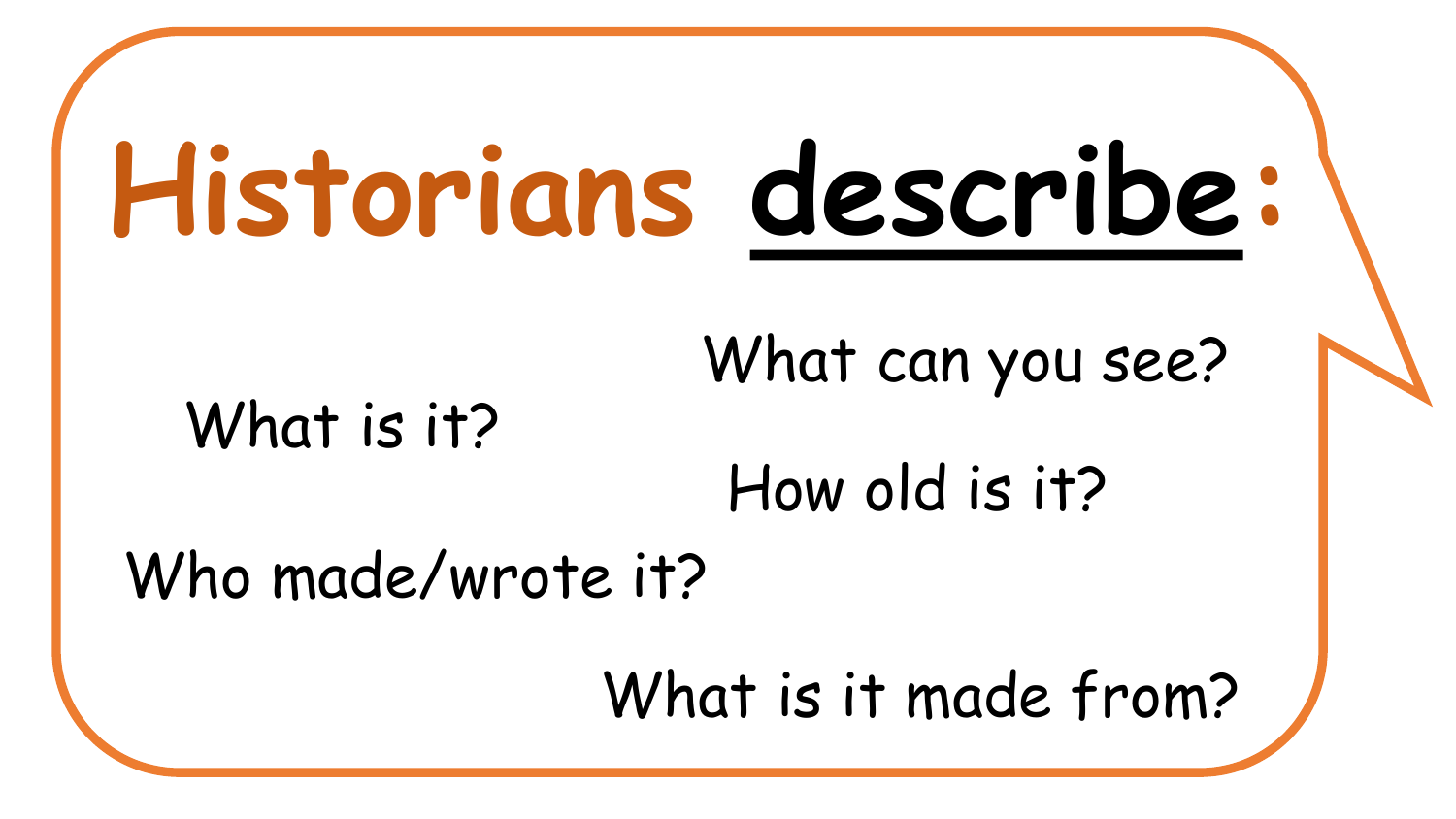### **Historians describe:**

What can you see?

#### What is it?

How old is it?

Who made/wrote it?

What is it made from?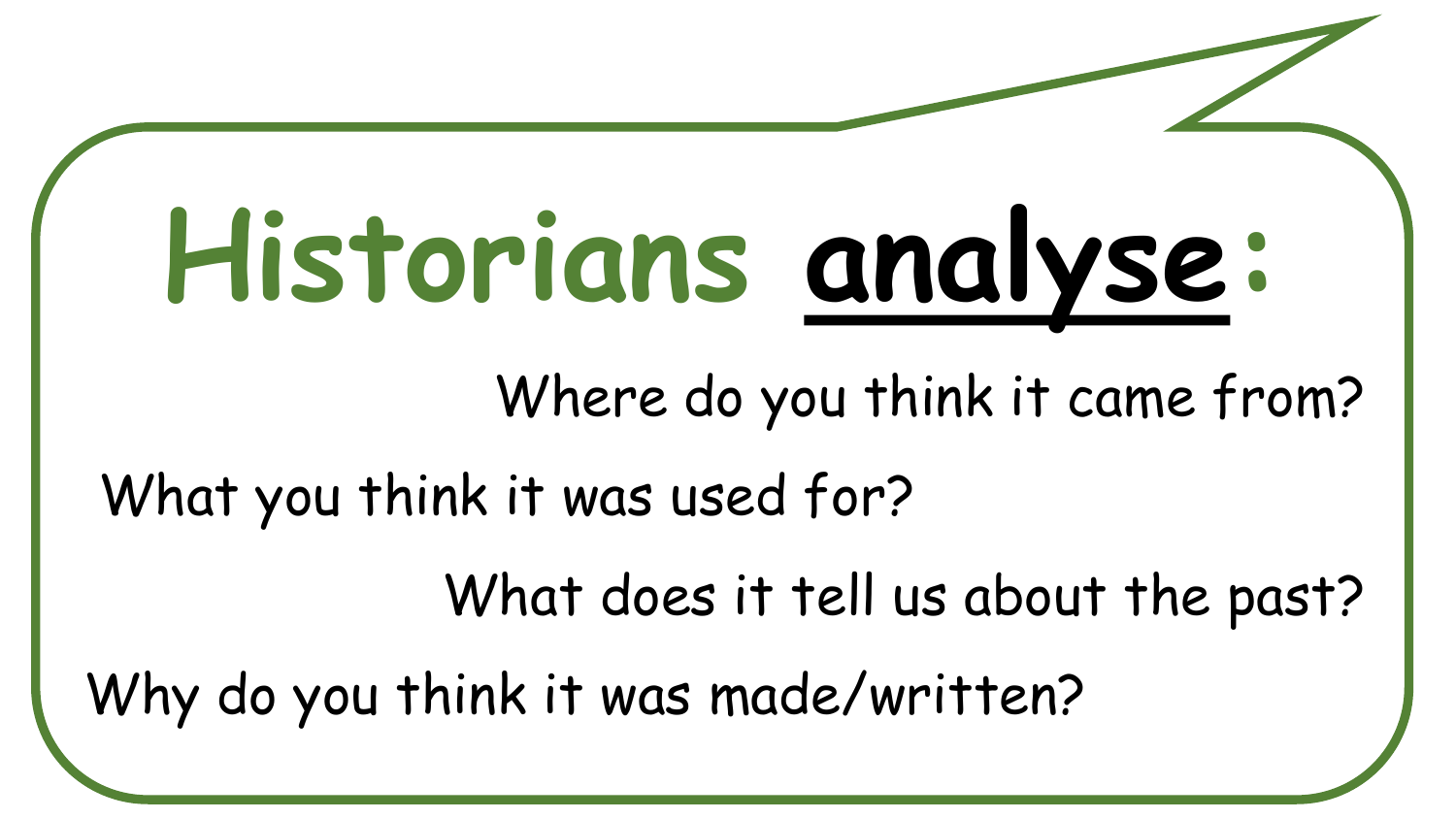## **Historians analyse:**

Where do you think it came from?

What you think it was used for?

What does it tell us about the past?

Why do you think it was made/written?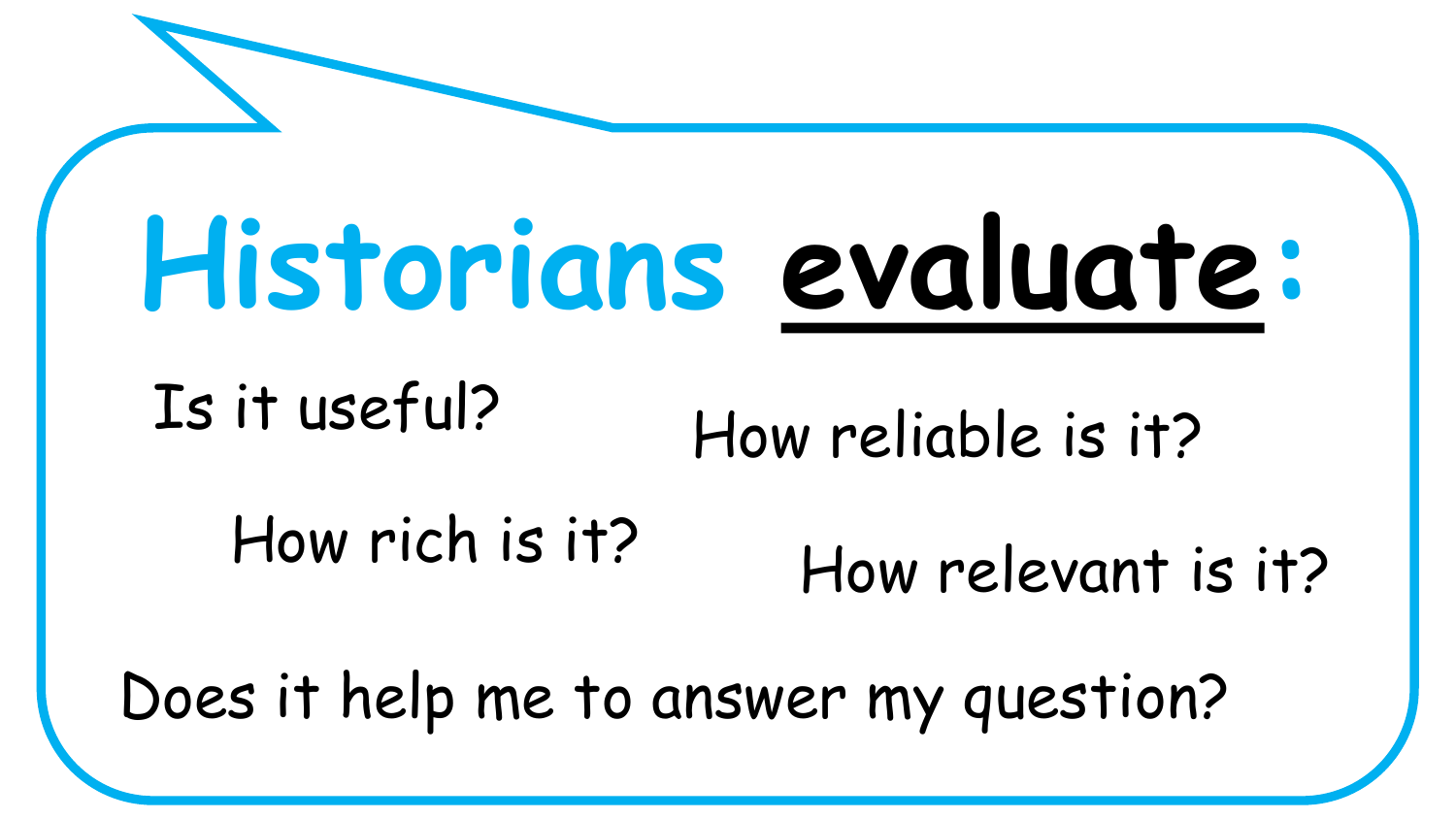### **Historians evaluate:**

#### Is it useful?

#### the information about  $\overline{\phantom{a}}$ How reliable is it?

#### How rich is it? How relevant is it?

Does it help me to answer my question?